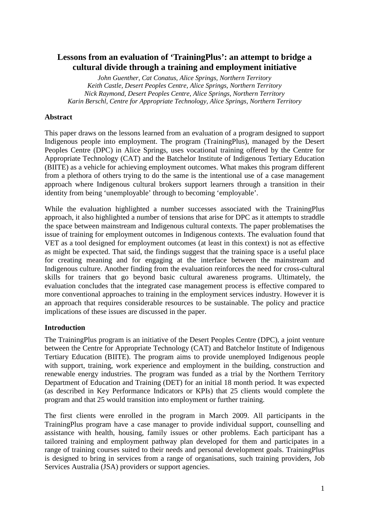# **Lessons from an evaluation of 'TrainingPlus': an attempt to bridge a cultural divide through a training and employment initiative**

*John Guenther, Cat Conatus, Alice Springs, Northern Territory Keith Castle, Desert Peoples Centre, Alice Springs, Northern Territory Nick Raymond, Desert Peoples Centre, Alice Springs, Northern Territory Karin Berschl, Centre for Appropriate Technology, Alice Springs, Northern Territory* 

## **Abstract**

This paper draws on the lessons learned from an evaluation of a program designed to support Indigenous people into employment. The program (TrainingPlus), managed by the Desert Peoples Centre (DPC) in Alice Springs, uses vocational training offered by the Centre for Appropriate Technology (CAT) and the Batchelor Institute of Indigenous Tertiary Education (BIITE) as a vehicle for achieving employment outcomes. What makes this program different from a plethora of others trying to do the same is the intentional use of a case management approach where Indigenous cultural brokers support learners through a transition in their identity from being 'unemployable' through to becoming 'employable'.

While the evaluation highlighted a number successes associated with the TrainingPlus approach, it also highlighted a number of tensions that arise for DPC as it attempts to straddle the space between mainstream and Indigenous cultural contexts. The paper problematises the issue of training for employment outcomes in Indigenous contexts. The evaluation found that VET as a tool designed for employment outcomes (at least in this context) is not as effective as might be expected. That said, the findings suggest that the training space is a useful place for creating meaning and for engaging at the interface between the mainstream and Indigenous culture. Another finding from the evaluation reinforces the need for cross-cultural skills for trainers that go beyond basic cultural awareness programs. Ultimately, the evaluation concludes that the integrated case management process is effective compared to more conventional approaches to training in the employment services industry. However it is an approach that requires considerable resources to be sustainable. The policy and practice implications of these issues are discussed in the paper.

### **Introduction**

The TrainingPlus program is an initiative of the Desert Peoples Centre (DPC), a joint venture between the Centre for Appropriate Technology (CAT) and Batchelor Institute of Indigenous Tertiary Education (BIITE). The program aims to provide unemployed Indigenous people with support, training, work experience and employment in the building, construction and renewable energy industries. The program was funded as a trial by the Northern Territory Department of Education and Training (DET) for an initial 18 month period. It was expected (as described in Key Performance Indicators or KPIs) that 25 clients would complete the program and that 25 would transition into employment or further training.

The first clients were enrolled in the program in March 2009. All participants in the TrainingPlus program have a case manager to provide individual support, counselling and assistance with health, housing, family issues or other problems. Each participant has a tailored training and employment pathway plan developed for them and participates in a range of training courses suited to their needs and personal development goals. TrainingPlus is designed to bring in services from a range of organisations, such training providers, Job Services Australia (JSA) providers or support agencies.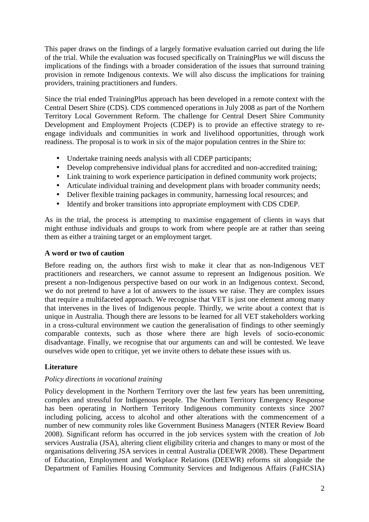This paper draws on the findings of a largely formative evaluation carried out during the life of the trial. While the evaluation was focused specifically on TrainingPlus we will discuss the implications of the findings with a broader consideration of the issues that surround training provision in remote Indigenous contexts. We will also discuss the implications for training providers, training practitioners and funders.

Since the trial ended TrainingPlus approach has been developed in a remote context with the Central Desert Shire (CDS). CDS commenced operations in July 2008 as part of the Northern Territory Local Government Reform. The challenge for Central Desert Shire Community Development and Employment Projects (CDEP) is to provide an effective strategy to reengage individuals and communities in work and livelihood opportunities, through work readiness. The proposal is to work in six of the major population centres in the Shire to:

- Undertake training needs analysis with all CDEP participants;
- Develop comprehensive individual plans for accredited and non-accredited training;
- Link training to work experience participation in defined community work projects;
- Articulate individual training and development plans with broader community needs;
- Deliver flexible training packages in community, harnessing local resources; and
- Identify and broker transitions into appropriate employment with CDS CDEP.

As in the trial, the process is attempting to maximise engagement of clients in ways that might enthuse individuals and groups to work from where people are at rather than seeing them as either a training target or an employment target.

### **A word or two of caution**

Before reading on, the authors first wish to make it clear that as non-Indigenous VET practitioners and researchers, we cannot assume to represent an Indigenous position. We present a non-Indigenous perspective based on our work in an Indigenous context. Second, we do not pretend to have a lot of answers to the issues we raise. They are complex issues that require a multifaceted approach. We recognise that VET is just one element among many that intervenes in the lives of Indigenous people. Thirdly, we write about a context that is unique in Australia. Though there are lessons to be learned for all VET stakeholders working in a cross-cultural environment we caution the generalisation of findings to other seemingly comparable contexts, such as those where there are high levels of socio-economic disadvantage. Finally, we recognise that our arguments can and will be contested. We leave ourselves wide open to critique, yet we invite others to debate these issues with us.

### **Literature**

### *Policy directions in vocational training*

Policy development in the Northern Territory over the last few years has been unremitting, complex and stressful for Indigenous people. The Northern Territory Emergency Response has been operating in Northern Territory Indigenous community contexts since 2007 including policing, access to alcohol and other alterations with the commencement of a number of new community roles like Government Business Managers (NTER Review Board 2008). Significant reform has occurred in the job services system with the creation of Job services Australia (JSA), altering client eligibility criteria and changes to many or most of the organisations delivering JSA services in central Australia (DEEWR 2008). These Department of Education, Employment and Workplace Relations (DEEWR) reforms sit alongside the Department of Families Housing Community Services and Indigenous Affairs (FaHCSIA)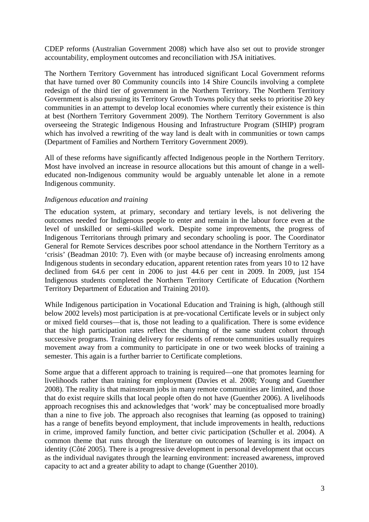CDEP reforms (Australian Government 2008) which have also set out to provide stronger accountability, employment outcomes and reconciliation with JSA initiatives.

The Northern Territory Government has introduced significant Local Government reforms that have turned over 80 Community councils into 14 Shire Councils involving a complete redesign of the third tier of government in the Northern Territory. The Northern Territory Government is also pursuing its Territory Growth Towns policy that seeks to prioritise 20 key communities in an attempt to develop local economies where currently their existence is thin at best (Northern Territory Government 2009). The Northern Territory Government is also overseeing the Strategic Indigenous Housing and Infrastructure Program (SIHIP) program which has involved a rewriting of the way land is dealt with in communities or town camps (Department of Families and Northern Territory Government 2009).

All of these reforms have significantly affected Indigenous people in the Northern Territory. Most have involved an increase in resource allocations but this amount of change in a welleducated non-Indigenous community would be arguably untenable let alone in a remote Indigenous community.

#### *Indigenous education and training*

The education system, at primary, secondary and tertiary levels, is not delivering the outcomes needed for Indigenous people to enter and remain in the labour force even at the level of unskilled or semi-skilled work. Despite some improvements, the progress of Indigenous Territorians through primary and secondary schooling is poor. The Coordinator General for Remote Services describes poor school attendance in the Northern Territory as a 'crisis' (Beadman 2010: 7). Even with (or maybe because of) increasing enrolments among Indigenous students in secondary education, apparent retention rates from years 10 to 12 have declined from 64.6 per cent in 2006 to just 44.6 per cent in 2009. In 2009, just 154 Indigenous students completed the Northern Territory Certificate of Education (Northern Territory Department of Education and Training 2010).

While Indigenous participation in Vocational Education and Training is high, (although still below 2002 levels) most participation is at pre-vocational Certificate levels or in subject only or mixed field courses—that is, those not leading to a qualification. There is some evidence that the high participation rates reflect the churning of the same student cohort through successive programs. Training delivery for residents of remote communities usually requires movement away from a community to participate in one or two week blocks of training a semester. This again is a further barrier to Certificate completions.

Some argue that a different approach to training is required—one that promotes learning for livelihoods rather than training for employment (Davies et al. 2008; Young and Guenther 2008). The reality is that mainstream jobs in many remote communities are limited, and those that do exist require skills that local people often do not have (Guenther 2006). A livelihoods approach recognises this and acknowledges that 'work' may be conceptualised more broadly than a nine to five job. The approach also recognises that learning (as opposed to training) has a range of benefits beyond employment, that include improvements in health, reductions in crime, improved family function, and better civic participation (Schuller et al. 2004). A common theme that runs through the literature on outcomes of learning is its impact on identity (Côté 2005). There is a progressive development in personal development that occurs as the individual navigates through the learning environment: increased awareness, improved capacity to act and a greater ability to adapt to change (Guenther 2010).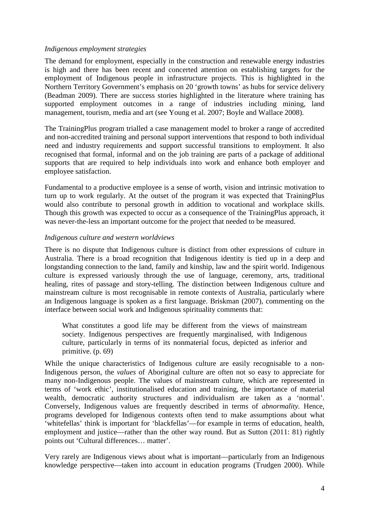#### *Indigenous employment strategies*

The demand for employment, especially in the construction and renewable energy industries is high and there has been recent and concerted attention on establishing targets for the employment of Indigenous people in infrastructure projects. This is highlighted in the Northern Territory Government's emphasis on 20 'growth towns' as hubs for service delivery (Beadman 2009). There are success stories highlighted in the literature where training has supported employment outcomes in a range of industries including mining, land management, tourism, media and art (see Young et al. 2007; Boyle and Wallace 2008).

The TrainingPlus program trialled a case management model to broker a range of accredited and non-accredited training and personal support interventions that respond to both individual need and industry requirements and support successful transitions to employment. It also recognised that formal, informal and on the job training are parts of a package of additional supports that are required to help individuals into work and enhance both employer and employee satisfaction.

Fundamental to a productive employee is a sense of worth, vision and intrinsic motivation to turn up to work regularly. At the outset of the program it was expected that TrainingPlus would also contribute to personal growth in addition to vocational and workplace skills. Though this growth was expected to occur as a consequence of the TrainingPlus approach, it was never-the-less an important outcome for the project that needed to be measured.

#### *Indigenous culture and western worldviews*

There is no dispute that Indigenous culture is distinct from other expressions of culture in Australia. There is a broad recognition that Indigenous identity is tied up in a deep and longstanding connection to the land, family and kinship, law and the spirit world. Indigenous culture is expressed variously through the use of language, ceremony, arts, traditional healing, rites of passage and story-telling. The distinction between Indigenous culture and mainstream culture is most recognisable in remote contexts of Australia, particularly where an Indigenous language is spoken as a first language. Briskman (2007), commenting on the interface between social work and Indigenous spirituality comments that:

What constitutes a good life may be different from the views of mainstream society. Indigenous perspectives are frequently marginalised, with Indigenous culture, particularly in terms of its nonmaterial focus, depicted as inferior and primitive. (p. 69)

While the unique characteristics of Indigenous culture are easily recognisable to a non-Indigenous person, the *values* of Aboriginal culture are often not so easy to appreciate for many non-Indigenous people. The values of mainstream culture, which are represented in terms of 'work ethic', institutionalised education and training, the importance of material wealth, democratic authority structures and individualism are taken as a 'normal'. Conversely, Indigenous values are frequently described in terms of *abnormality.* Hence, programs developed for Indigenous contexts often tend to make assumptions about what 'whitefellas' think is important for 'blackfellas'—for example in terms of education, health, employment and justice—rather than the other way round. But as Sutton (2011: 81) rightly points out 'Cultural differences… matter'.

Very rarely are Indigenous views about what is important—particularly from an Indigenous knowledge perspective—taken into account in education programs (Trudgen 2000). While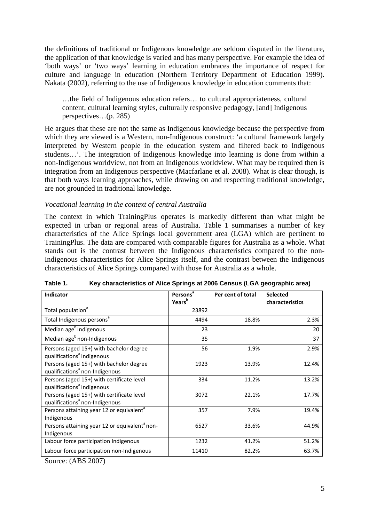the definitions of traditional or Indigenous knowledge are seldom disputed in the literature, the application of that knowledge is varied and has many perspective. For example the idea of 'both ways' or 'two ways' learning in education embraces the importance of respect for culture and language in education (Northern Territory Department of Education 1999). Nakata (2002), referring to the use of Indigenous knowledge in education comments that:

…the field of Indigenous education refers… to cultural appropriateness, cultural content, cultural learning styles, culturally responsive pedagogy, [and] Indigenous perspectives…(p. 285)

He argues that these are not the same as Indigenous knowledge because the perspective from which they are viewed is a Western, non-Indigenous construct: 'a cultural framework largely interpreted by Western people in the education system and filtered back to Indigenous students…'. The integration of Indigenous knowledge into learning is done from within a non-Indigenous worldview, not from an Indigenous worldview. What may be required then is integration from an Indigenous perspective (Macfarlane et al. 2008). What is clear though, is that both ways learning approaches, while drawing on and respecting traditional knowledge, are not grounded in traditional knowledge.

### *Vocational learning in the context of central Australia*

The context in which TrainingPlus operates is markedly different than what might be expected in urban or regional areas of Australia. Table 1 summarises a number of key characteristics of the Alice Springs local government area (LGA) which are pertinent to TrainingPlus. The data are compared with comparable figures for Australia as a whole. What stands out is the contrast between the Indigenous characteristics compared to the non-Indigenous characteristics for Alice Springs itself, and the contrast between the Indigenous characteristics of Alice Springs compared with those for Australia as a whole.

| <b>Indicator</b>                                                                        | Persons <sup>a</sup><br>Years <sup>b</sup> | Per cent of total | <b>Selected</b><br>characteristics |
|-----------------------------------------------------------------------------------------|--------------------------------------------|-------------------|------------------------------------|
| Total population <sup>a</sup>                                                           | 23892                                      |                   |                                    |
| Total Indigenous persons <sup>a</sup>                                                   | 4494                                       | 18.8%             | 2.3%                               |
| Median age <sup>b</sup> Indigenous                                                      | 23                                         |                   | 20                                 |
| Median age <sup>b</sup> non-Indigenous                                                  | 35                                         |                   | 37                                 |
| Persons (aged 15+) with bachelor degree<br>qualifications <sup>a</sup> Indigenous       | 56                                         | 1.9%              | 2.9%                               |
| Persons (aged 15+) with bachelor degree<br>qualifications <sup>ª</sup> non-Indigenous   | 1923                                       | 13.9%             | 12.4%                              |
| Persons (aged 15+) with certificate level<br>qualifications <sup>ª</sup> Indigenous     | 334                                        | 11.2%             | 13.2%                              |
| Persons (aged 15+) with certificate level<br>qualifications <sup>a</sup> non-Indigenous | 3072                                       | 22.1%             | 17.7%                              |
| Persons attaining year 12 or equivalent <sup>a</sup><br>Indigenous                      | 357                                        | 7.9%              | 19.4%                              |
| Persons attaining year 12 or equivalent <sup>a</sup> non-<br>Indigenous                 | 6527                                       | 33.6%             | 44.9%                              |
| Labour force participation Indigenous                                                   | 1232                                       | 41.2%             | 51.2%                              |
| Labour force participation non-Indigenous                                               | 11410                                      | 82.2%             | 63.7%                              |

**Table 1. Key characteristics of Alice Springs at 2006 Census (LGA geographic area)** 

Source: (ABS 2007)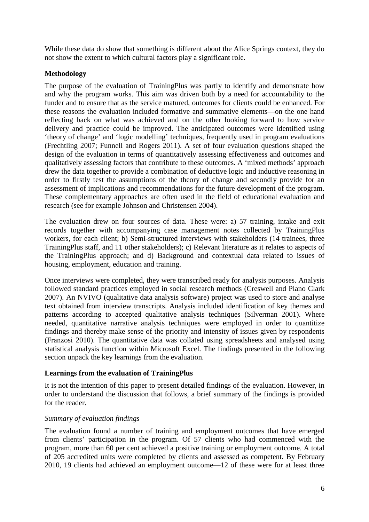While these data do show that something is different about the Alice Springs context, they do not show the extent to which cultural factors play a significant role.

### **Methodology**

The purpose of the evaluation of TrainingPlus was partly to identify and demonstrate how and why the program works. This aim was driven both by a need for accountability to the funder and to ensure that as the service matured, outcomes for clients could be enhanced. For these reasons the evaluation included formative and summative elements—on the one hand reflecting back on what was achieved and on the other looking forward to how service delivery and practice could be improved. The anticipated outcomes were identified using 'theory of change' and 'logic modelling' techniques, frequently used in program evaluations (Frechtling 2007; Funnell and Rogers 2011). A set of four evaluation questions shaped the design of the evaluation in terms of quantitatively assessing effectiveness and outcomes and qualitatively assessing factors that contribute to these outcomes. A 'mixed methods' approach drew the data together to provide a combination of deductive logic and inductive reasoning in order to firstly test the assumptions of the theory of change and secondly provide for an assessment of implications and recommendations for the future development of the program. These complementary approaches are often used in the field of educational evaluation and research (see for example Johnson and Christensen 2004).

The evaluation drew on four sources of data. These were: a) 57 training, intake and exit records together with accompanying case management notes collected by TrainingPlus workers, for each client; b) Semi-structured interviews with stakeholders (14 trainees, three TrainingPlus staff, and 11 other stakeholders); c) Relevant literature as it relates to aspects of the TrainingPlus approach; and d) Background and contextual data related to issues of housing, employment, education and training.

Once interviews were completed, they were transcribed ready for analysis purposes. Analysis followed standard practices employed in social research methods (Creswell and Plano Clark 2007). An NVIVO (qualitative data analysis software) project was used to store and analyse text obtained from interview transcripts. Analysis included identification of key themes and patterns according to accepted qualitative analysis techniques (Silverman 2001). Where needed, quantitative narrative analysis techniques were employed in order to quantitize findings and thereby make sense of the priority and intensity of issues given by respondents (Franzosi 2010). The quantitative data was collated using spreadsheets and analysed using statistical analysis function within Microsoft Excel. The findings presented in the following section unpack the key learnings from the evaluation.

#### **Learnings from the evaluation of TrainingPlus**

It is not the intention of this paper to present detailed findings of the evaluation. However, in order to understand the discussion that follows, a brief summary of the findings is provided for the reader.

### *Summary of evaluation findings*

The evaluation found a number of training and employment outcomes that have emerged from clients' participation in the program. Of 57 clients who had commenced with the program, more than 60 per cent achieved a positive training or employment outcome. A total of 205 accredited units were completed by clients and assessed as competent. By February 2010, 19 clients had achieved an employment outcome—12 of these were for at least three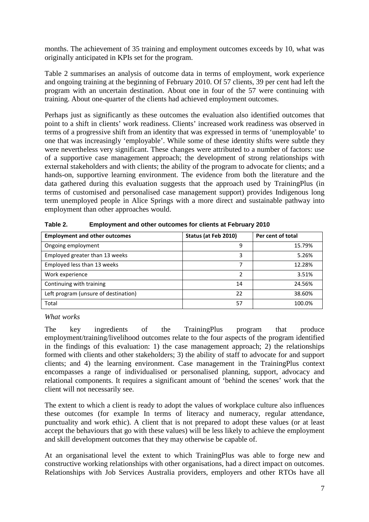months. The achievement of 35 training and employment outcomes exceeds by 10, what was originally anticipated in KPIs set for the program.

Table 2 summarises an analysis of outcome data in terms of employment, work experience and ongoing training at the beginning of February 2010. Of 57 clients, 39 per cent had left the program with an uncertain destination. About one in four of the 57 were continuing with training. About one-quarter of the clients had achieved employment outcomes.

Perhaps just as significantly as these outcomes the evaluation also identified outcomes that point to a shift in clients' work readiness. Clients' increased work readiness was observed in terms of a progressive shift from an identity that was expressed in terms of 'unemployable' to one that was increasingly 'employable'. While some of these identity shifts were subtle they were nevertheless very significant. These changes were attributed to a number of factors: use of a supportive case management approach; the development of strong relationships with external stakeholders and with clients; the ability of the program to advocate for clients; and a hands-on, supportive learning environment. The evidence from both the literature and the data gathered during this evaluation suggests that the approach used by TrainingPlus (in terms of customised and personalised case management support) provides Indigenous long term unemployed people in Alice Springs with a more direct and sustainable pathway into employment than other approaches would.

| <b>Employment and other outcomes</b> | Status (at Feb 2010) | Per cent of total |
|--------------------------------------|----------------------|-------------------|
| Ongoing employment                   | q                    | 15.79%            |
| Employed greater than 13 weeks       | ς                    | 5.26%             |
| Employed less than 13 weeks          |                      | 12.28%            |
| Work experience                      | 2                    | 3.51%             |
| Continuing with training             | 14                   | 24.56%            |
| Left program (unsure of destination) | 22                   | 38.60%            |
| Total                                | 57                   | 100.0%            |

**Table 2. Employment and other outcomes for clients at February 2010** 

### *What works*

The key ingredients of the TrainingPlus program that produce employment/training/livelihood outcomes relate to the four aspects of the program identified in the findings of this evaluation: 1) the case management approach; 2) the relationships formed with clients and other stakeholders; 3) the ability of staff to advocate for and support clients; and 4) the learning environment. Case management in the TrainingPlus context encompasses a range of individualised or personalised planning, support, advocacy and relational components. It requires a significant amount of 'behind the scenes' work that the client will not necessarily see.

The extent to which a client is ready to adopt the values of workplace culture also influences these outcomes (for example In terms of literacy and numeracy, regular attendance, punctuality and work ethic). A client that is not prepared to adopt these values (or at least accept the behaviours that go with these values) will be less likely to achieve the employment and skill development outcomes that they may otherwise be capable of.

At an organisational level the extent to which TrainingPlus was able to forge new and constructive working relationships with other organisations, had a direct impact on outcomes. Relationships with Job Services Australia providers, employers and other RTOs have all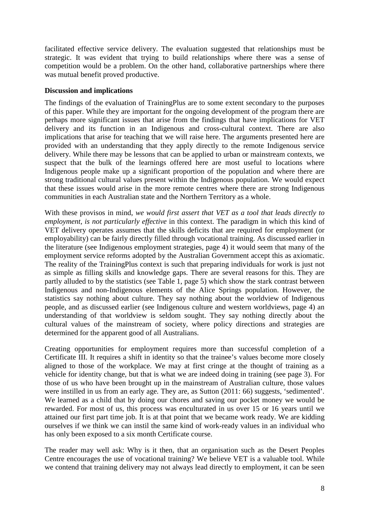facilitated effective service delivery. The evaluation suggested that relationships must be strategic. It was evident that trying to build relationships where there was a sense of competition would be a problem. On the other hand, collaborative partnerships where there was mutual benefit proved productive.

### **Discussion and implications**

The findings of the evaluation of TrainingPlus are to some extent secondary to the purposes of this paper. While they are important for the ongoing development of the program there are perhaps more significant issues that arise from the findings that have implications for VET delivery and its function in an Indigenous and cross-cultural context. There are also implications that arise for teaching that we will raise here. The arguments presented here are provided with an understanding that they apply directly to the remote Indigenous service delivery. While there may be lessons that can be applied to urban or mainstream contexts, we suspect that the bulk of the learnings offered here are most useful to locations where Indigenous people make up a significant proportion of the population and where there are strong traditional cultural values present within the Indigenous population. We would expect that these issues would arise in the more remote centres where there are strong Indigenous communities in each Australian state and the Northern Territory as a whole.

With these provisos in mind, *we would first assert that VET as a tool that leads directly to employment, is not particularly effective* in this context. The paradigm in which this kind of VET delivery operates assumes that the skills deficits that are required for employment (or employability) can be fairly directly filled through vocational training. As discussed earlier in the literature (see Indigenous employment strategies, page 4) it would seem that many of the employment service reforms adopted by the Australian Government accept this as axiomatic. The reality of the TrainingPlus context is such that preparing individuals for work is just not as simple as filling skills and knowledge gaps. There are several reasons for this. They are partly alluded to by the statistics (see Table 1, page 5) which show the stark contrast between Indigenous and non-Indigenous elements of the Alice Springs population. However, the statistics say nothing about culture. They say nothing about the worldview of Indigenous people, and as discussed earlier (see Indigenous culture and western worldviews, page 4) an understanding of that worldview is seldom sought. They say nothing directly about the cultural values of the mainstream of society, where policy directions and strategies are determined for the apparent good of all Australians.

Creating opportunities for employment requires more than successful completion of a Certificate III. It requires a shift in identity so that the trainee's values become more closely aligned to those of the workplace. We may at first cringe at the thought of training as a vehicle for identity change, but that is what we are indeed doing in training (see page 3). For those of us who have been brought up in the mainstream of Australian culture, those values were instilled in us from an early age. They are, as Sutton (2011: 66) suggests, 'sedimented'. We learned as a child that by doing our chores and saving our pocket money we would be rewarded. For most of us, this process was enculturated in us over 15 or 16 years until we attained our first part time job. It is at that point that we became work ready. We are kidding ourselves if we think we can instil the same kind of work-ready values in an individual who has only been exposed to a six month Certificate course.

The reader may well ask: Why is it then, that an organisation such as the Desert Peoples Centre encourages the use of vocational training? We believe VET is a valuable tool. While we contend that training delivery may not always lead directly to employment, it can be seen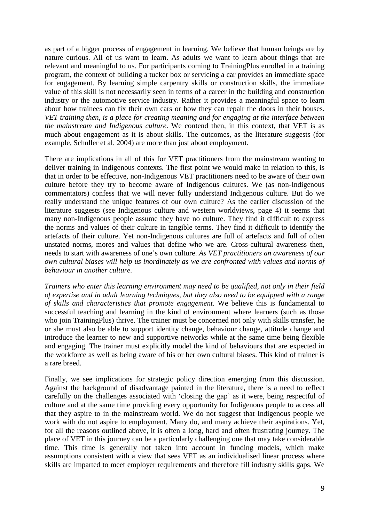as part of a bigger process of engagement in learning. We believe that human beings are by nature curious. All of us want to learn. As adults we want to learn about things that are relevant and meaningful to us. For participants coming to TrainingPlus enrolled in a training program, the context of building a tucker box or servicing a car provides an immediate space for engagement. By learning simple carpentry skills or construction skills, the immediate value of this skill is not necessarily seen in terms of a career in the building and construction industry or the automotive service industry. Rather it provides a meaningful space to learn about how trainees can fix their own cars or how they can repair the doors in their houses. *VET training then, is a place for creating meaning and for engaging at the interface between the mainstream and Indigenous culture*. We contend then, in this context, that VET is as much about engagement as it is about skills. The outcomes, as the literature suggests (for example, Schuller et al. 2004) are more than just about employment.

There are implications in all of this for VET practitioners from the mainstream wanting to deliver training in Indigenous contexts. The first point we would make in relation to this, is that in order to be effective, non-Indigenous VET practitioners need to be aware of their own culture before they try to become aware of Indigenous cultures. We (as non-Indigenous commentators) confess that we will never fully understand Indigenous culture. But do we really understand the unique features of our own culture? As the earlier discussion of the literature suggests (see Indigenous culture and western worldviews, page 4) it seems that many non-Indigenous people assume they have no culture. They find it difficult to express the norms and values of their culture in tangible terms. They find it difficult to identify the artefacts of their culture. Yet non-Indigenous cultures are full of artefacts and full of often unstated norms, mores and values that define who we are. Cross-cultural awareness then, needs to start with awareness of one's own culture. *As VET practitioners an awareness of our own cultural biases will help us inordinately as we are confronted with values and norms of behaviour in another culture.* 

*Trainers who enter this learning environment may need to be qualified, not only in their field of expertise and in adult learning techniques, but they also need to be equipped with a range of skills and characteristics that promote engagement.* We believe this is fundamental to successful teaching and learning in the kind of environment where learners (such as those who join TrainingPlus) thrive. The trainer must be concerned not only with skills transfer, he or she must also be able to support identity change, behaviour change, attitude change and introduce the learner to new and supportive networks while at the same time being flexible and engaging. The trainer must explicitly model the kind of behaviours that are expected in the workforce as well as being aware of his or her own cultural biases. This kind of trainer is a rare breed.

Finally, we see implications for strategic policy direction emerging from this discussion. Against the background of disadvantage painted in the literature, there is a need to reflect carefully on the challenges associated with 'closing the gap' as it were, being respectful of culture and at the same time providing every opportunity for Indigenous people to access all that they aspire to in the mainstream world. We do not suggest that Indigenous people we work with do not aspire to employment. Many do, and many achieve their aspirations. Yet, for all the reasons outlined above, it is often a long, hard and often frustrating journey. The place of VET in this journey can be a particularly challenging one that may take considerable time. This time is generally not taken into account in funding models, which make assumptions consistent with a view that sees VET as an individualised linear process where skills are imparted to meet employer requirements and therefore fill industry skills gaps. We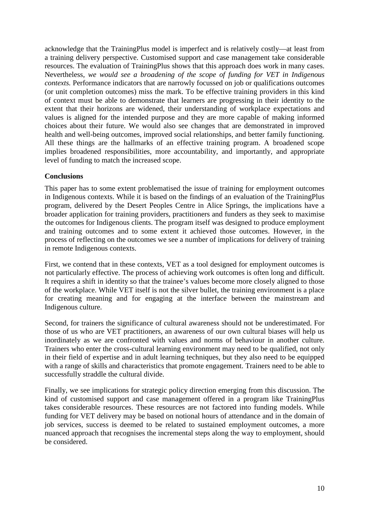acknowledge that the TrainingPlus model is imperfect and is relatively costly—at least from a training delivery perspective. Customised support and case management take considerable resources. The evaluation of TrainingPlus shows that this approach does work in many cases. Nevertheless, *we would see a broadening of the scope of funding for VET in Indigenous contexts.* Performance indicators that are narrowly focussed on job or qualifications outcomes (or unit completion outcomes) miss the mark. To be effective training providers in this kind of context must be able to demonstrate that learners are progressing in their identity to the extent that their horizons are widened, their understanding of workplace expectations and values is aligned for the intended purpose and they are more capable of making informed choices about their future. We would also see changes that are demonstrated in improved health and well-being outcomes, improved social relationships, and better family functioning. All these things are the hallmarks of an effective training program. A broadened scope implies broadened responsibilities, more accountability, and importantly, and appropriate level of funding to match the increased scope.

### **Conclusions**

This paper has to some extent problematised the issue of training for employment outcomes in Indigenous contexts. While it is based on the findings of an evaluation of the TrainingPlus program, delivered by the Desert Peoples Centre in Alice Springs, the implications have a broader application for training providers, practitioners and funders as they seek to maximise the outcomes for Indigenous clients. The program itself was designed to produce employment and training outcomes and to some extent it achieved those outcomes. However, in the process of reflecting on the outcomes we see a number of implications for delivery of training in remote Indigenous contexts.

First, we contend that in these contexts, VET as a tool designed for employment outcomes is not particularly effective. The process of achieving work outcomes is often long and difficult. It requires a shift in identity so that the trainee's values become more closely aligned to those of the workplace. While VET itself is not the silver bullet, the training environment is a place for creating meaning and for engaging at the interface between the mainstream and Indigenous culture.

Second, for trainers the significance of cultural awareness should not be underestimated. For those of us who are VET practitioners, an awareness of our own cultural biases will help us inordinately as we are confronted with values and norms of behaviour in another culture. Trainers who enter the cross-cultural learning environment may need to be qualified, not only in their field of expertise and in adult learning techniques, but they also need to be equipped with a range of skills and characteristics that promote engagement. Trainers need to be able to successfully straddle the cultural divide.

Finally, we see implications for strategic policy direction emerging from this discussion. The kind of customised support and case management offered in a program like TrainingPlus takes considerable resources. These resources are not factored into funding models. While funding for VET delivery may be based on notional hours of attendance and in the domain of job services, success is deemed to be related to sustained employment outcomes, a more nuanced approach that recognises the incremental steps along the way to employment, should be considered.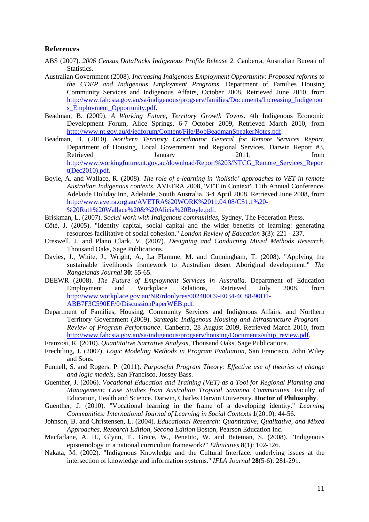#### **References**

- ABS (2007). *2006 Census DataPacks Indigenous Profile Release 2*. Canberra, Australian Bureau of Statistics.
- Australian Government (2008). *Increasing Indigenous Employment Opportunity: Proposed reforms to the CDEP and Indigenous Employment Programs*. Department of Families Housing Community Services and Indigenous Affairs, October 2008, Retrieved June 2010, from http://www.fahcsia.gov.au/sa/indigenous/progserv/families/Documents/Increasing\_Indigenou s Employment Opportunity.pdf.
- Beadman, B. (2009). *A Working Future, Territory Growth Towns*. 4th Indigenous Economic Development Forum, Alice Springs, 6-7 October 2009, Retrieved March 2010, from http://www.nt.gov.au/d/iedforum/Content/File/BobBeadmanSpeakerNotes.pdf.
- Beadman, B. (2010). *Northern Territory Coordinator General for Remote Services Report*. Department of Housing, Local Government and Regional Services. Darwin Report #3, Retrieved January 2011, from http://www.workingfuture.nt.gov.au/download/Report%203/NTCG\_Remote\_Services\_Repor t(Dec2010).pdf.
- Boyle, A. and Wallace, R. (2008). *The role of e-learning in 'holistic' approaches to VET in remote Australian Indigenous contexts*. AVETRA 2008, 'VET in Context', 11th Annual Conference, Adelaide Holiday Inn, Adelaide, South Australia, 3-4 April 2008, Retrieved June 2008, from http://www.avetra.org.au/AVETRA%20WORK%2011.04.08/CS1.1%20- %20Ruth%20Wallace%20&%20Alicia%20Boyle.pdf.
- Briskman, L. (2007). *Social work with Indigenous communities*, Sydney, The Federation Press.
- Côté, J. (2005). "Identity capital, social capital and the wider benefits of learning: generating resources facilitative of social cohesion." *London Review of Education* **3**(3): 221 - 237.
- Creswell, J. and Plano Clark, V. (2007). *Designing and Conducting Mixed Methods Research*, Thousand Oaks, Sage Publications.
- Davies, J., White, J., Wright, A., La Flamme, M. and Cunningham, T. (2008). "Applying the sustainable livelihoods framework to Australian desert Aboriginal development." *The Rangelands Journal* **30**: 55-65.
- DEEWR (2008). *The Future of Employment Services in Australia*. Department of Education Employment and Workplace Relations, Retrieved July 2008, from http://www.workplace.gov.au/NR/rdonlyres/002400C9-E034-4C88-90D1- ABB7F3C590EF/0/DiscussionPaperWEB.pdf.
- Department of Families, Housing, Community Services and Indigenous Affairs, and Northern Territory Government (2009). *Strategic Indigenous Housing and Infrastructure Program – Review of Program Performance*. Canberra, 28 August 2009, Retrieved March 2010, from http://www.fahcsia.gov.au/sa/indigenous/progserv/housing/Documents/sihip\_review.pdf.
- Franzosi, R. (2010). *Quantitative Narrative Analysis*, Thousand Oaks, Sage Publications.
- Frechtling, J. (2007). *Logic Modeling Methods in Program Evaluation*, San Francisco, John Wiley and Sons.
- Funnell, S. and Rogers, P. (2011). *Purposeful Program Theory: Effective use of theories of change and logic models*, San Francisco, Jossey Bass.
- Guenther, J. (2006). *Vocational Education and Training (VET) as a Tool for Regional Planning and Management: Case Studies from Australian Tropical Savanna Communities*. Faculty of Education, Health and Science. Darwin, Charles Darwin University. **Doctor of Philosophy**.
- Guenther, J. (2010). "Vocational learning in the frame of a developing identity." *Learning Communities: International Journal of Learning in Social Contexts* **1**(2010): 44-56.
- Johnson, B. and Christensen, L. (2004). *Educational Research: Quantitative, Qualitative, and Mixed Approaches, Research Edition, Second Edition* Boston, Pearson Education Inc.
- Macfarlane, A. H., Glynn, T., Grace, W., Penetito, W. and Bateman, S. (2008). "Indigenous epistemology in a national curriculum framework?" *Ethnicities* **8**(1): 102-126.
- Nakata, M. (2002). "Indigenous Knowledge and the Cultural Interface: underlying issues at the intersection of knowledge and information systems." *IFLA Journal* **28**(5-6): 281-291.